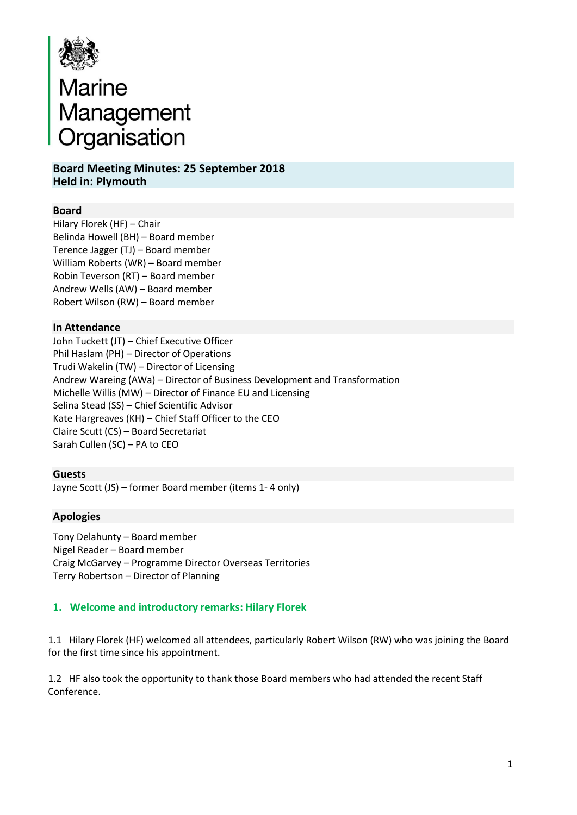

# Marine<br>Management<br>Organisation

# **Board Meeting Minutes: 25 September 2018 Held in: Plymouth**

## **Board**

 Hilary Florek (HF) – Chair Belinda Howell (BH) – Board member Terence Jagger (TJ) – Board member William Roberts (WR) – Board member Robin Teverson (RT) – Board member Andrew Wells (AW) – Board member Robert Wilson (RW) – Board member

## **In Attendance**

John Tuckett (JT) – Chief Executive Officer Phil Haslam (PH) – Director of Operations Trudi Wakelin (TW) – Director of Licensing Andrew Wareing (AWa) – Director of Business Development and Transformation Michelle Willis (MW) – Director of Finance EU and Licensing Selina Stead (SS) – Chief Scientific Advisor Kate Hargreaves (KH) – Chief Staff Officer to the CEO Claire Scutt (CS) – Board Secretariat Sarah Cullen (SC) – PA to CEO

## **Guests**

Jayne Scott (JS) – former Board member (items 1- 4 only)

## **Apologies**

 Tony Delahunty – Board member Nigel Reader – Board member Craig McGarvey – Programme Director Overseas Territories Terry Robertson – Director of Planning

## **1. Welcome and introductory remarks: Hilary Florek**

1.1 Hilary Florek (HF) welcomed all attendees, particularly Robert Wilson (RW) who was joining the Board for the first time since his appointment.

1.2 HF also took the opportunity to thank those Board members who had attended the recent Staff Conference.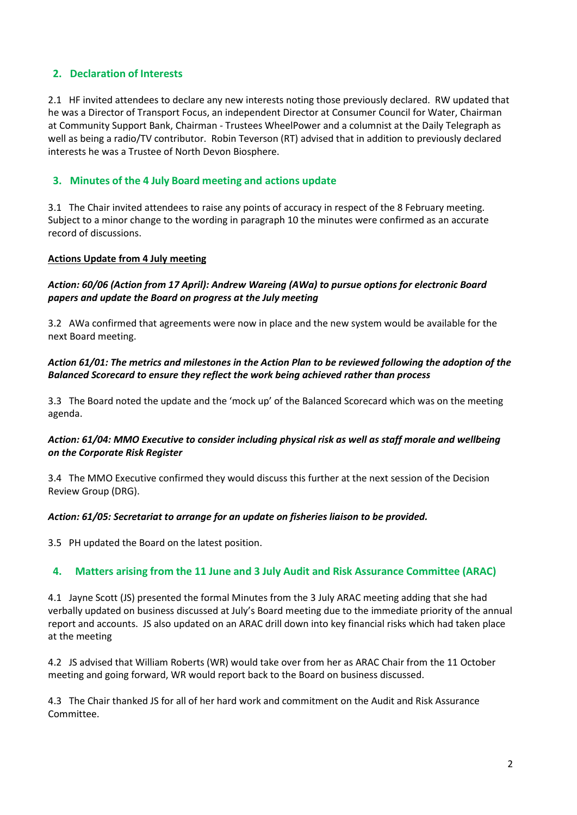# **2. Declaration of Interests**

2.1 HF invited attendees to declare any new interests noting those previously declared. RW updated that he was a Director of Transport Focus, an independent Director at Consumer Council for Water, Chairman at Community Support Bank, Chairman - Trustees WheelPower and a columnist at the Daily Telegraph as well as being a radio/TV contributor. Robin Teverson (RT) advised that in addition to previously declared interests he was a Trustee of North Devon Biosphere.

## **3. Minutes of the 4 July Board meeting and actions update**

3.1 The Chair invited attendees to raise any points of accuracy in respect of the 8 February meeting. Subject to a minor change to the wording in paragraph 10 the minutes were confirmed as an accurate record of discussions.

#### **Actions Update from 4 July meeting**

## *Action: 60/06 (Action from 17 April): Andrew Wareing (AWa) to pursue options for electronic Board papers and update the Board on progress at the July meeting*

3.2 AWa confirmed that agreements were now in place and the new system would be available for the next Board meeting.

#### *Action 61/01: The metrics and milestones in the Action Plan to be reviewed following the adoption of the Balanced Scorecard to ensure they reflect the work being achieved rather than process*

3.3 The Board noted the update and the 'mock up' of the Balanced Scorecard which was on the meeting agenda.

## *Action: 61/04: MMO Executive to consider including physical risk as well as staff morale and wellbeing on the Corporate Risk Register*

3.4 The MMO Executive confirmed they would discuss this further at the next session of the Decision Review Group (DRG).

#### *Action: 61/05: Secretariat to arrange for an update on fisheries liaison to be provided.*

3.5 PH updated the Board on the latest position.

## **4. Matters arising from the 11 June and 3 July Audit and Risk Assurance Committee (ARAC)**

4.1 Jayne Scott (JS) presented the formal Minutes from the 3 July ARAC meeting adding that she had verbally updated on business discussed at July's Board meeting due to the immediate priority of the annual report and accounts. JS also updated on an ARAC drill down into key financial risks which had taken place at the meeting

4.2 JS advised that William Roberts (WR) would take over from her as ARAC Chair from the 11 October meeting and going forward, WR would report back to the Board on business discussed.

4.3 The Chair thanked JS for all of her hard work and commitment on the Audit and Risk Assurance Committee.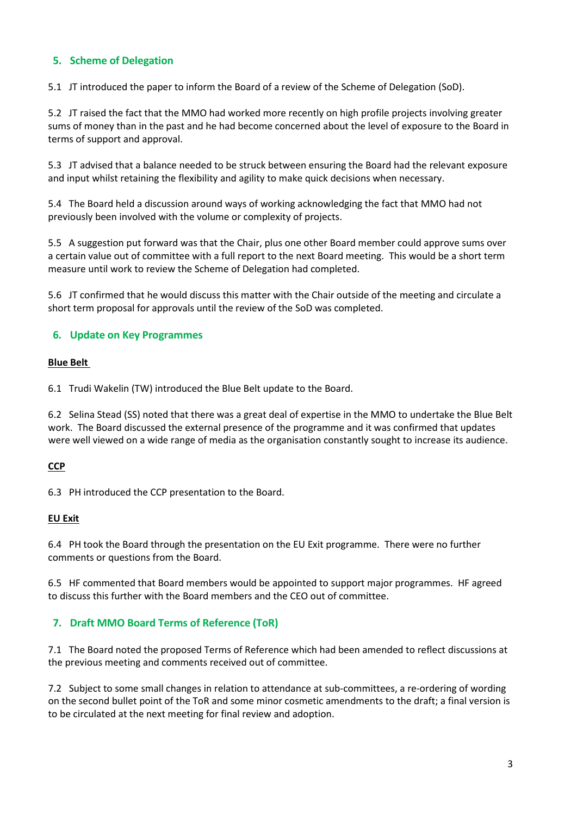# **5. Scheme of Delegation**

5.1 JT introduced the paper to inform the Board of a review of the Scheme of Delegation (SoD).

5.2 JT raised the fact that the MMO had worked more recently on high profile projects involving greater sums of money than in the past and he had become concerned about the level of exposure to the Board in terms of support and approval.

5.3 JT advised that a balance needed to be struck between ensuring the Board had the relevant exposure and input whilst retaining the flexibility and agility to make quick decisions when necessary.

5.4 The Board held a discussion around ways of working acknowledging the fact that MMO had not previously been involved with the volume or complexity of projects.

5.5 A suggestion put forward was that the Chair, plus one other Board member could approve sums over a certain value out of committee with a full report to the next Board meeting. This would be a short term measure until work to review the Scheme of Delegation had completed.

5.6 JT confirmed that he would discuss this matter with the Chair outside of the meeting and circulate a short term proposal for approvals until the review of the SoD was completed.

## **6. Update on Key Programmes**

## **Blue Belt**

6.1 Trudi Wakelin (TW) introduced the Blue Belt update to the Board.

6.2 Selina Stead (SS) noted that there was a great deal of expertise in the MMO to undertake the Blue Belt work. The Board discussed the external presence of the programme and it was confirmed that updates were well viewed on a wide range of media as the organisation constantly sought to increase its audience.

## **CCP**

6.3PH introduced the CCP presentation to the Board.

#### **EU Exit**

6.4 PH took the Board through the presentation on the EU Exit programme. There were no further comments or questions from the Board.

6.5 HF commented that Board members would be appointed to support major programmes. HF agreed to discuss this further with the Board members and the CEO out of committee.

## **7. Draft MMO Board Terms of Reference (ToR)**

7.1 The Board noted the proposed Terms of Reference which had been amended to reflect discussions at the previous meeting and comments received out of committee.

7.2 Subject to some small changes in relation to attendance at sub-committees, a re-ordering of wording on the second bullet point of the ToR and some minor cosmetic amendments to the draft; a final version is to be circulated at the next meeting for final review and adoption.